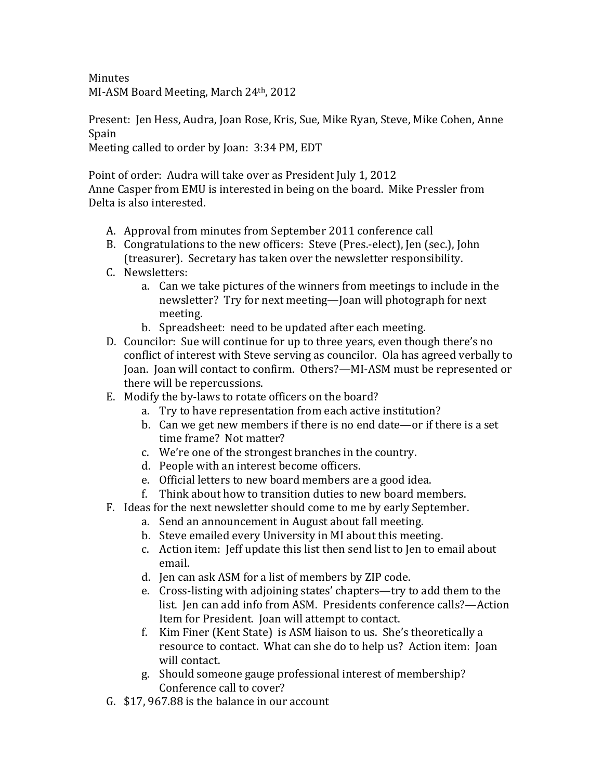**Minutes** MI-ASM Board Meeting, March 24th, 2012

Present: Jen Hess, Audra, Joan Rose, Kris, Sue, Mike Ryan, Steve, Mike Cohen, Anne Spain 

Meeting called to order by Joan: 3:34 PM, EDT

Point of order: Audra will take over as President July 1, 2012 Anne Casper from EMU is interested in being on the board. Mike Pressler from Delta is also interested.

- A. Approval from minutes from September 2011 conference call
- B. Congratulations to the new officers: Steve (Pres.-elect), Jen (sec.), John (treasurer). Secretary has taken over the newsletter responsibility.
- C. Newsletters:
	- a. Can we take pictures of the winners from meetings to include in the newsletter? Try for next meeting—Joan will photograph for next meeting.
	- b. Spreadsheet: need to be updated after each meeting.
- D. Councilor: Sue will continue for up to three years, even though there's no conflict of interest with Steve serving as councilor. Ola has agreed verbally to Joan. Joan will contact to confirm. Others?—MI-ASM must be represented or there will be repercussions.
- E. Modify the by-laws to rotate officers on the board?
	- a. Try to have representation from each active institution?
	- b. Can we get new members if there is no end date—or if there is a set time frame? Not matter?
	- c. We're one of the strongest branches in the country.
	- d. People with an interest become officers.
	- e. Official letters to new board members are a good idea.
	- f. Think about how to transition duties to new board members.
- F. Ideas for the next newsletter should come to me by early September.
	- a. Send an announcement in August about fall meeting.
	- b. Steve emailed every University in MI about this meeting.
	- c. Action item: Jeff update this list then send list to Jen to email about email.
	- d. Jen can ask ASM for a list of members by ZIP code.
	- e. Cross-listing with adjoining states' chapters—try to add them to the list. Jen can add info from ASM. Presidents conference calls?—Action Item for President. Joan will attempt to contact.
	- f. Kim Finer (Kent State) is ASM liaison to us. She's theoretically a resource to contact. What can she do to help us? Action item: Joan will contact.
	- g. Should someone gauge professional interest of membership? Conference call to cover?
- G. \$17, 967.88 is the balance in our account